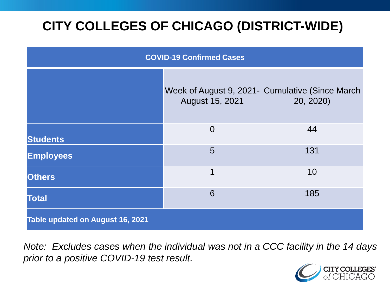# **CITY COLLEGES OF CHICAGO (DISTRICT-WIDE)**

| <b>COVID-19 Confirmed Cases</b>  |                 |                                                               |
|----------------------------------|-----------------|---------------------------------------------------------------|
|                                  | August 15, 2021 | Week of August 9, 2021- Cumulative (Since March)<br>20, 2020) |
| <b>Students</b>                  | $\overline{0}$  | 44                                                            |
| <b>Employees</b>                 | 5               | 131                                                           |
| <b>Others</b>                    | 1               | 10                                                            |
| <b>Total</b>                     | 6               | 185                                                           |
| Table updated on August 16, 2021 |                 |                                                               |

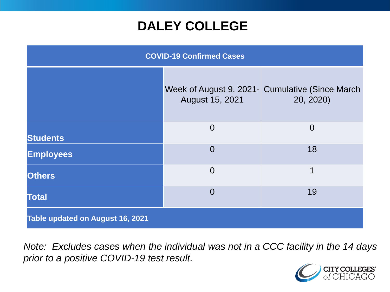### **DALEY COLLEGE**

| <b>COVID-19 Confirmed Cases</b>  |                 |                                                               |
|----------------------------------|-----------------|---------------------------------------------------------------|
|                                  | August 15, 2021 | Week of August 9, 2021 - Cumulative (Since March<br>20, 2020) |
| <b>Students</b>                  | $\overline{0}$  | $\Omega$                                                      |
| <b>Employees</b>                 | $\Omega$        | 18                                                            |
| <b>Others</b>                    | $\overline{0}$  | 1                                                             |
| <b>Total</b>                     | $\Omega$        | 19                                                            |
| Table updated on August 16, 2021 |                 |                                                               |

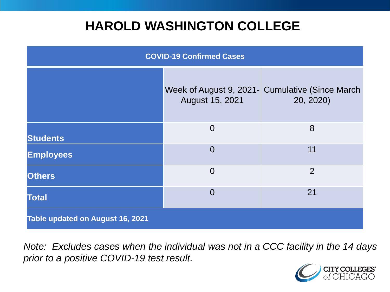### **HAROLD WASHINGTON COLLEGE**

| <b>COVID-19 Confirmed Cases</b>  |                 |                                                              |
|----------------------------------|-----------------|--------------------------------------------------------------|
|                                  | August 15, 2021 | Week of August 9, 2021- Cumulative (Since March<br>20, 2020) |
| <b>Students</b>                  | $\overline{0}$  | 8                                                            |
| <b>Employees</b>                 | $\Omega$        | 11                                                           |
| <b>Others</b>                    | $\Omega$        | $\overline{2}$                                               |
| <b>Total</b>                     | $\Omega$        | 21                                                           |
| Table updated on August 16, 2021 |                 |                                                              |

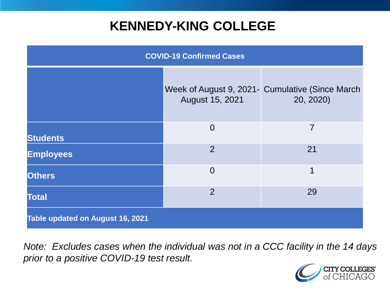## **KENNEDY-KING COLLEGE**

| <b>COVID-19 Confirmed Cases</b>  |                 |                                                                |
|----------------------------------|-----------------|----------------------------------------------------------------|
|                                  | August 15, 2021 | Week of August 9, 2021 - Cumulative (Since March)<br>20, 2020) |
| <b>Students</b>                  | $\overline{0}$  | 7                                                              |
| <b>Employees</b>                 | $\overline{2}$  | 21                                                             |
| <b>Others</b>                    | $\overline{0}$  | 1                                                              |
| <b>Total</b>                     | 2               | 29                                                             |
| Table updated on August 16, 2021 |                 |                                                                |

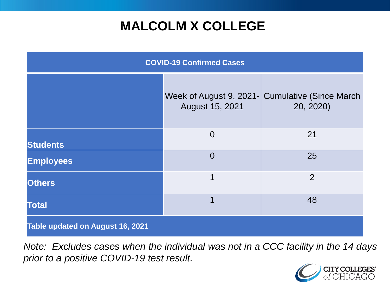# **MALCOLM X COLLEGE**

| <b>COVID-19 Confirmed Cases</b>  |                 |                                                               |
|----------------------------------|-----------------|---------------------------------------------------------------|
|                                  | August 15, 2021 | Week of August 9, 2021 - Cumulative (Since March<br>20, 2020) |
| <b>Students</b>                  | $\overline{0}$  | 21                                                            |
| <b>Employees</b>                 | $\overline{0}$  | 25                                                            |
| <b>Others</b>                    | 1               | $\overline{2}$                                                |
| <b>Total</b>                     | 1               | 48                                                            |
| Table updated on August 16, 2021 |                 |                                                               |

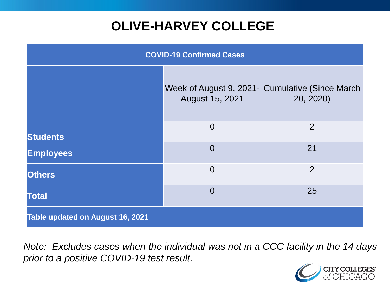# **OLIVE-HARVEY COLLEGE**

| <b>COVID-19 Confirmed Cases</b>  |                 |                                                               |
|----------------------------------|-----------------|---------------------------------------------------------------|
|                                  | August 15, 2021 | Week of August 9, 2021- Cumulative (Since March)<br>20, 2020) |
| <b>Students</b>                  | $\overline{0}$  | 2                                                             |
| <b>Employees</b>                 | $\Omega$        | 21                                                            |
| <b>Others</b>                    | $\overline{0}$  | $\overline{2}$                                                |
| <b>Total</b>                     | $\Omega$        | 25                                                            |
| Table updated on August 16, 2021 |                 |                                                               |

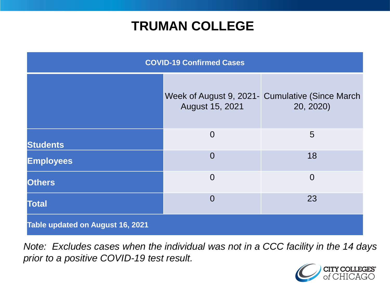### **TRUMAN COLLEGE**

| <b>COVID-19 Confirmed Cases</b>  |                 |                                                              |
|----------------------------------|-----------------|--------------------------------------------------------------|
|                                  | August 15, 2021 | Week of August 9, 2021- Cumulative (Since March<br>20, 2020) |
| <b>Students</b>                  | $\overline{0}$  | 5                                                            |
| <b>Employees</b>                 | $\overline{0}$  | 18                                                           |
| <b>Others</b>                    | $\overline{0}$  | $\overline{0}$                                               |
| <b>Total</b>                     | $\overline{0}$  | 23                                                           |
| Table updated on August 16, 2021 |                 |                                                              |

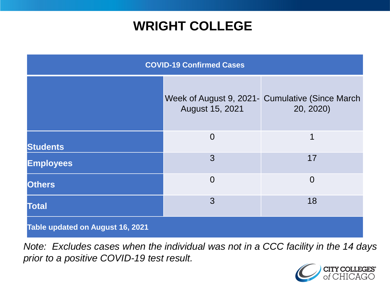### **WRIGHT COLLEGE**

| <b>COVID-19 Confirmed Cases</b>  |                 |                                                              |
|----------------------------------|-----------------|--------------------------------------------------------------|
|                                  | August 15, 2021 | Week of August 9, 2021- Cumulative (Since March<br>20, 2020) |
| <b>Students</b>                  | $\overline{0}$  | 1                                                            |
| <b>Employees</b>                 | 3               | 17                                                           |
| <b>Others</b>                    | $\overline{0}$  | $\overline{0}$                                               |
| <b>Total</b>                     | 3               | 18                                                           |
| Table updated on August 16, 2021 |                 |                                                              |